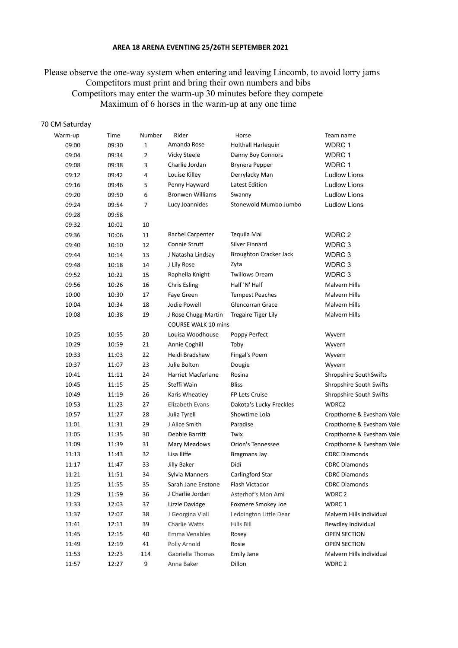## **AREA 18 ARENA EVENTING 25/26TH SEPTEMBER 2021**

 Please observe the one-way system when entering and leaving Lincomb, to avoid lorry jams Competitors must print and bring their own numbers and bibs Competitors may enter the warm-up 30 minutes before they compete Maximum of 6 horses in the warm-up at any one time

## 70 CM Saturday

| Warm-up | Time  | Number         | Rider                      | Horse                         | Team name                 |
|---------|-------|----------------|----------------------------|-------------------------------|---------------------------|
| 09:00   | 09:30 | $\mathbf{1}$   | Amanda Rose                | Holthall Harlequin            | WDRC 1                    |
| 09:04   | 09:34 | $\overline{2}$ | Vicky Steele               | Danny Boy Connors             | WDRC 1                    |
| 09:08   | 09:38 | 3              | Charlie Jordan             | Brynera Pepper                | WDRC 1                    |
| 09:12   | 09:42 | 4              | Louise Killey              | Derrylacky Man                | <b>Ludlow Lions</b>       |
| 09:16   | 09:46 | 5              | Penny Hayward              | Latest Edition                | <b>Ludlow Lions</b>       |
| 09:20   | 09:50 | 6              | <b>Bronwen Williams</b>    | Swanny                        | <b>Ludlow Lions</b>       |
| 09:24   | 09:54 | 7              | Lucy Joannides             | Stonewold Mumbo Jumbo         | <b>Ludlow Lions</b>       |
| 09:28   | 09:58 |                |                            |                               |                           |
| 09:32   | 10:02 | 10             |                            |                               |                           |
| 09:36   | 10:06 | 11             | Rachel Carpenter           | Tequila Mai                   | WDRC 2                    |
| 09:40   | 10:10 | 12             | Connie Strutt              | <b>Silver Finnard</b>         | WDRC 3                    |
| 09:44   | 10:14 | 13             | J Natasha Lindsay          | <b>Broughton Cracker Jack</b> | WDRC 3                    |
| 09:48   | 10:18 | 14             | J Lily Rose                | Zyta                          | WDRC 3                    |
| 09:52   | 10:22 | 15             | Raphella Knight            | <b>Twillows Dream</b>         | WDRC 3                    |
| 09:56   | 10:26 | 16             | <b>Chris Esling</b>        | Half 'N' Half                 | Malvern Hills             |
| 10:00   | 10:30 | 17             | Faye Green                 | <b>Tempest Peaches</b>        | Malvern Hills             |
| 10:04   | 10:34 | 18             | Jodie Powell               | Glencorran Grace              | Malvern Hills             |
| 10:08   | 10:38 | 19             | J Rose Chugg-Martin        | <b>Tregaire Tiger Lily</b>    | <b>Malvern Hills</b>      |
|         |       |                | <b>COURSE WALK 10 mins</b> |                               |                           |
| 10:25   | 10:55 | 20             | Louisa Woodhouse           | Poppy Perfect                 | Wyvern                    |
| 10:29   | 10:59 | 21             | Annie Coghill              | Toby                          | Wyvern                    |
| 10:33   | 11:03 | 22             | Heidi Bradshaw             | Fingal's Poem                 | Wyvern                    |
| 10:37   | 11:07 | 23             | Julie Bolton               | Dougie                        | Wyvern                    |
| 10:41   | 11:11 | 24             | Harriet Macfarlane         | Rosina                        | Shropshire SouthSwifts    |
| 10:45   | 11:15 | 25             | Steffi Wain                | <b>Bliss</b>                  | Shropshire South Swifts   |
| 10:49   | 11:19 | 26             | Karis Wheatley             | FP Lets Cruise                | Shropshire South Swifts   |
| 10:53   | 11:23 | 27             | Elizabeth Evans            | Dakota's Lucky Freckles       | WDRC2                     |
| 10:57   | 11:27 | 28             | Julia Tyrell               | Showtime Lola                 | Cropthorne & Evesham Vale |
| 11:01   | 11:31 | 29             | J Alice Smith              | Paradise                      | Cropthorne & Evesham Vale |
| 11:05   | 11:35 | 30             | Debbie Barritt             | Twix                          | Cropthorne & Evesham Vale |
| 11:09   | 11:39 | 31             | Mary Meadows               | Orion's Tennessee             | Cropthorne & Evesham Vale |
| 11:13   | 11:43 | 32             | Lisa Iliffe                | <b>Bragmans Jay</b>           | <b>CDRC Diamonds</b>      |
| 11:17   | 11:47 | 33             | Jilly Baker                | Didi                          | <b>CDRC Diamonds</b>      |
| 11:21   | 11:51 | 34             | Sylvia Manners             | Carlingford Star              | <b>CDRC Diamonds</b>      |
| 11:25   | 11:55 | 35             | Sarah Jane Enstone         | Flash Victador                | <b>CDRC Diamonds</b>      |
| 11:29   | 11:59 | 36             | J Charlie Jordan           | Asterhof's Mon Ami            | WDRC <sub>2</sub>         |
| 11:33   | 12:03 | 37             | Lizzie Davidge             | Foxmere Smokey Joe            | WDRC 1                    |
| 11:37   | 12:07 | 38             | J Georgina Viall           | Leddington Little Dear        | Malvern Hills individual  |
| 11:41   | 12:11 | 39             | Charlie Watts              | Hills Bill                    | Bewdley Individual        |
| 11:45   | 12:15 | 40             | Emma Venables              | Rosey                         | OPEN SECTION              |
| 11:49   | 12:19 | 41             | Polly Arnold               | Rosie                         | OPEN SECTION              |
| 11:53   | 12:23 | 114            | Gabriella Thomas           | Emily Jane                    | Malvern Hills individual  |
| 11:57   | 12:27 | 9              | Anna Baker                 | Dillon                        | WDRC 2                    |
|         |       |                |                            |                               |                           |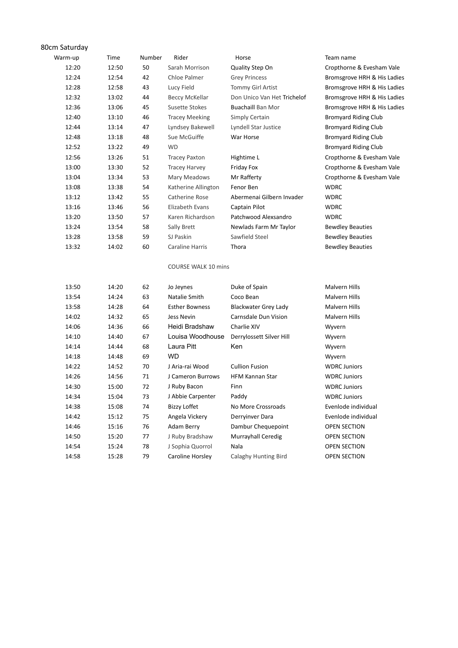| Time<br>Rider<br>Warm-up<br>Number<br>Horse<br>Team name<br>50<br>12:20<br>12:50<br>Quality Step On<br>Sarah Morrison<br>Cropthorne & Evesham Vale<br>12:24<br>42<br>Chloe Palmer<br>12:54<br><b>Grey Princess</b><br>Bromsgrove HRH & His Ladies<br>12:28<br>Lucy Field<br>Tommy Girl Artist<br>12:58<br>43<br>Bromsgrove HRH & His Ladies<br>12:32<br>13:02<br>Don Unico Van Het Trichelof<br>44<br><b>Beccy McKellar</b><br>Bromsgrove HRH & His Ladies<br>12:36<br>13:06<br>45<br>Susette Stokes<br><b>Buachaill Ban Mor</b><br>Bromsgrove HRH & His Ladies<br>12:40<br>46<br>Simply Certain<br>13:10<br><b>Tracey Meeking</b><br><b>Bromyard Riding Club</b><br>12:44<br>47<br>Lyndsey Bakewell<br>13:14<br>Lyndell Star Justice<br><b>Bromyard Riding Club</b><br>Sue McGuiffe<br>12:48<br>13:18<br>48<br>War Horse<br><b>Bromyard Riding Club</b><br>12:52<br>49<br><b>WD</b><br><b>Bromyard Riding Club</b><br>13:22<br>12:56<br>13:26<br><b>Tracey Paxton</b><br>Cropthorne & Evesham Vale<br>51<br>Hightime L<br>13:00<br>52<br>Cropthorne & Evesham Vale<br>13:30<br><b>Tracey Harvey</b><br>Friday Fox<br>53<br>Mr Rafferty<br>Cropthorne & Evesham Vale<br>13:04<br>13:34<br>Mary Meadows<br>13:08<br>Fenor Ben<br>13:38<br>54<br>Katherine Allington<br><b>WDRC</b><br>13:12<br>13:42<br>55<br>Catherine Rose<br>Abermenai Gilbern Invader<br><b>WDRC</b><br>13:16<br>56<br>Elizabeth Evans<br><b>WDRC</b><br>13:46<br>Captain Pilot<br>13:20<br>Karen Richardson<br>Patchwood Alexsandro<br><b>WDRC</b><br>13:50<br>57<br>13:24<br>58<br>Newlads Farm Mr Taylor<br><b>Bewdley Beauties</b><br>13:54<br>Sally Brett<br>Sawfield Steel<br>13:28<br>59<br>SJ Paskin<br><b>Bewdley Beauties</b><br>13:58<br>13:32<br>60<br>Caraline Harris<br>Thora<br><b>Bewdley Beauties</b><br>14:02<br><b>COURSE WALK 10 mins</b><br>13:50<br>Malvern Hills<br>14:20<br>62<br>Jo Jeynes<br>Duke of Spain<br>13:54<br>63<br>Natalie Smith<br>Coco Bean<br>Malvern Hills<br>14:24<br>13:58<br>14:28<br>64<br><b>Esther Bowness</b><br><b>Blackwater Grey Lady</b><br>Malvern Hills<br>65<br>Carnsdale Dun Vision<br>14:02<br>14:32<br>Jess Nevin<br>Malvern Hills<br>14:06<br>66<br>Heidi Bradshaw<br>Charlie XIV<br>14:36<br>Wyvern<br>Louisa Woodhouse<br>14:10<br>67<br>14:40<br>Derrylossett Silver Hill<br>Wyvern<br>Laura Pitt<br>14:14<br>68<br>Ken<br>14:44<br>Wyvern<br><b>WD</b><br>69<br>14:18<br>14:48<br>Wyvern<br>J Aria-rai Wood<br><b>Cullion Fusion</b><br>70<br><b>WDRC Juniors</b><br>14:22<br>14:52<br><b>HFM Kannan Star</b><br>14:26<br>J Cameron Burrows<br>14:56<br>71<br><b>WDRC Juniors</b><br>J Ruby Bacon<br>Finn<br>14:30<br>72<br>15:00<br><b>WDRC Juniors</b><br>J Abbie Carpenter<br>Paddy<br>14:34<br>15:04<br>73<br><b>WDRC Juniors</b><br>14:38<br><b>Bizzy Loffet</b><br>15:08<br>74<br>No More Crossroads<br>Evenlode individual<br>14:42<br>75<br>Angela Vickery<br>Evenlode individual<br>15:12<br>Derryinver Dara<br>76<br>Dambur Chequepoint<br>14:46<br>15:16<br>Adam Berry<br><b>OPEN SECTION</b><br>14:50<br>77<br>J Ruby Bradshaw<br>Murrayhall Ceredig<br>15:20<br><b>OPEN SECTION</b><br>14:54<br>J Sophia Quorrol<br>Nala<br>15:24<br>78<br><b>OPEN SECTION</b> | 80cm Saturday |       |    |                  |                      |              |
|--------------------------------------------------------------------------------------------------------------------------------------------------------------------------------------------------------------------------------------------------------------------------------------------------------------------------------------------------------------------------------------------------------------------------------------------------------------------------------------------------------------------------------------------------------------------------------------------------------------------------------------------------------------------------------------------------------------------------------------------------------------------------------------------------------------------------------------------------------------------------------------------------------------------------------------------------------------------------------------------------------------------------------------------------------------------------------------------------------------------------------------------------------------------------------------------------------------------------------------------------------------------------------------------------------------------------------------------------------------------------------------------------------------------------------------------------------------------------------------------------------------------------------------------------------------------------------------------------------------------------------------------------------------------------------------------------------------------------------------------------------------------------------------------------------------------------------------------------------------------------------------------------------------------------------------------------------------------------------------------------------------------------------------------------------------------------------------------------------------------------------------------------------------------------------------------------------------------------------------------------------------------------------------------------------------------------------------------------------------------------------------------------------------------------------------------------------------------------------------------------------------------------------------------------------------------------------------------------------------------------------------------------------------------------------------------------------------------------------------------------------------------------------------------------------------------------------------------------------------------------------------------------------------------------------------------------------------------------------------------------------------------------------------------------------------------------------------------------------------------------------------------------------------------------------------------------------------|---------------|-------|----|------------------|----------------------|--------------|
|                                                                                                                                                                                                                                                                                                                                                                                                                                                                                                                                                                                                                                                                                                                                                                                                                                                                                                                                                                                                                                                                                                                                                                                                                                                                                                                                                                                                                                                                                                                                                                                                                                                                                                                                                                                                                                                                                                                                                                                                                                                                                                                                                                                                                                                                                                                                                                                                                                                                                                                                                                                                                                                                                                                                                                                                                                                                                                                                                                                                                                                                                                                                                                                                              |               |       |    |                  |                      |              |
|                                                                                                                                                                                                                                                                                                                                                                                                                                                                                                                                                                                                                                                                                                                                                                                                                                                                                                                                                                                                                                                                                                                                                                                                                                                                                                                                                                                                                                                                                                                                                                                                                                                                                                                                                                                                                                                                                                                                                                                                                                                                                                                                                                                                                                                                                                                                                                                                                                                                                                                                                                                                                                                                                                                                                                                                                                                                                                                                                                                                                                                                                                                                                                                                              |               |       |    |                  |                      |              |
|                                                                                                                                                                                                                                                                                                                                                                                                                                                                                                                                                                                                                                                                                                                                                                                                                                                                                                                                                                                                                                                                                                                                                                                                                                                                                                                                                                                                                                                                                                                                                                                                                                                                                                                                                                                                                                                                                                                                                                                                                                                                                                                                                                                                                                                                                                                                                                                                                                                                                                                                                                                                                                                                                                                                                                                                                                                                                                                                                                                                                                                                                                                                                                                                              |               |       |    |                  |                      |              |
|                                                                                                                                                                                                                                                                                                                                                                                                                                                                                                                                                                                                                                                                                                                                                                                                                                                                                                                                                                                                                                                                                                                                                                                                                                                                                                                                                                                                                                                                                                                                                                                                                                                                                                                                                                                                                                                                                                                                                                                                                                                                                                                                                                                                                                                                                                                                                                                                                                                                                                                                                                                                                                                                                                                                                                                                                                                                                                                                                                                                                                                                                                                                                                                                              |               |       |    |                  |                      |              |
|                                                                                                                                                                                                                                                                                                                                                                                                                                                                                                                                                                                                                                                                                                                                                                                                                                                                                                                                                                                                                                                                                                                                                                                                                                                                                                                                                                                                                                                                                                                                                                                                                                                                                                                                                                                                                                                                                                                                                                                                                                                                                                                                                                                                                                                                                                                                                                                                                                                                                                                                                                                                                                                                                                                                                                                                                                                                                                                                                                                                                                                                                                                                                                                                              |               |       |    |                  |                      |              |
|                                                                                                                                                                                                                                                                                                                                                                                                                                                                                                                                                                                                                                                                                                                                                                                                                                                                                                                                                                                                                                                                                                                                                                                                                                                                                                                                                                                                                                                                                                                                                                                                                                                                                                                                                                                                                                                                                                                                                                                                                                                                                                                                                                                                                                                                                                                                                                                                                                                                                                                                                                                                                                                                                                                                                                                                                                                                                                                                                                                                                                                                                                                                                                                                              |               |       |    |                  |                      |              |
|                                                                                                                                                                                                                                                                                                                                                                                                                                                                                                                                                                                                                                                                                                                                                                                                                                                                                                                                                                                                                                                                                                                                                                                                                                                                                                                                                                                                                                                                                                                                                                                                                                                                                                                                                                                                                                                                                                                                                                                                                                                                                                                                                                                                                                                                                                                                                                                                                                                                                                                                                                                                                                                                                                                                                                                                                                                                                                                                                                                                                                                                                                                                                                                                              |               |       |    |                  |                      |              |
|                                                                                                                                                                                                                                                                                                                                                                                                                                                                                                                                                                                                                                                                                                                                                                                                                                                                                                                                                                                                                                                                                                                                                                                                                                                                                                                                                                                                                                                                                                                                                                                                                                                                                                                                                                                                                                                                                                                                                                                                                                                                                                                                                                                                                                                                                                                                                                                                                                                                                                                                                                                                                                                                                                                                                                                                                                                                                                                                                                                                                                                                                                                                                                                                              |               |       |    |                  |                      |              |
|                                                                                                                                                                                                                                                                                                                                                                                                                                                                                                                                                                                                                                                                                                                                                                                                                                                                                                                                                                                                                                                                                                                                                                                                                                                                                                                                                                                                                                                                                                                                                                                                                                                                                                                                                                                                                                                                                                                                                                                                                                                                                                                                                                                                                                                                                                                                                                                                                                                                                                                                                                                                                                                                                                                                                                                                                                                                                                                                                                                                                                                                                                                                                                                                              |               |       |    |                  |                      |              |
|                                                                                                                                                                                                                                                                                                                                                                                                                                                                                                                                                                                                                                                                                                                                                                                                                                                                                                                                                                                                                                                                                                                                                                                                                                                                                                                                                                                                                                                                                                                                                                                                                                                                                                                                                                                                                                                                                                                                                                                                                                                                                                                                                                                                                                                                                                                                                                                                                                                                                                                                                                                                                                                                                                                                                                                                                                                                                                                                                                                                                                                                                                                                                                                                              |               |       |    |                  |                      |              |
|                                                                                                                                                                                                                                                                                                                                                                                                                                                                                                                                                                                                                                                                                                                                                                                                                                                                                                                                                                                                                                                                                                                                                                                                                                                                                                                                                                                                                                                                                                                                                                                                                                                                                                                                                                                                                                                                                                                                                                                                                                                                                                                                                                                                                                                                                                                                                                                                                                                                                                                                                                                                                                                                                                                                                                                                                                                                                                                                                                                                                                                                                                                                                                                                              |               |       |    |                  |                      |              |
|                                                                                                                                                                                                                                                                                                                                                                                                                                                                                                                                                                                                                                                                                                                                                                                                                                                                                                                                                                                                                                                                                                                                                                                                                                                                                                                                                                                                                                                                                                                                                                                                                                                                                                                                                                                                                                                                                                                                                                                                                                                                                                                                                                                                                                                                                                                                                                                                                                                                                                                                                                                                                                                                                                                                                                                                                                                                                                                                                                                                                                                                                                                                                                                                              |               |       |    |                  |                      |              |
|                                                                                                                                                                                                                                                                                                                                                                                                                                                                                                                                                                                                                                                                                                                                                                                                                                                                                                                                                                                                                                                                                                                                                                                                                                                                                                                                                                                                                                                                                                                                                                                                                                                                                                                                                                                                                                                                                                                                                                                                                                                                                                                                                                                                                                                                                                                                                                                                                                                                                                                                                                                                                                                                                                                                                                                                                                                                                                                                                                                                                                                                                                                                                                                                              |               |       |    |                  |                      |              |
|                                                                                                                                                                                                                                                                                                                                                                                                                                                                                                                                                                                                                                                                                                                                                                                                                                                                                                                                                                                                                                                                                                                                                                                                                                                                                                                                                                                                                                                                                                                                                                                                                                                                                                                                                                                                                                                                                                                                                                                                                                                                                                                                                                                                                                                                                                                                                                                                                                                                                                                                                                                                                                                                                                                                                                                                                                                                                                                                                                                                                                                                                                                                                                                                              |               |       |    |                  |                      |              |
|                                                                                                                                                                                                                                                                                                                                                                                                                                                                                                                                                                                                                                                                                                                                                                                                                                                                                                                                                                                                                                                                                                                                                                                                                                                                                                                                                                                                                                                                                                                                                                                                                                                                                                                                                                                                                                                                                                                                                                                                                                                                                                                                                                                                                                                                                                                                                                                                                                                                                                                                                                                                                                                                                                                                                                                                                                                                                                                                                                                                                                                                                                                                                                                                              |               |       |    |                  |                      |              |
|                                                                                                                                                                                                                                                                                                                                                                                                                                                                                                                                                                                                                                                                                                                                                                                                                                                                                                                                                                                                                                                                                                                                                                                                                                                                                                                                                                                                                                                                                                                                                                                                                                                                                                                                                                                                                                                                                                                                                                                                                                                                                                                                                                                                                                                                                                                                                                                                                                                                                                                                                                                                                                                                                                                                                                                                                                                                                                                                                                                                                                                                                                                                                                                                              |               |       |    |                  |                      |              |
|                                                                                                                                                                                                                                                                                                                                                                                                                                                                                                                                                                                                                                                                                                                                                                                                                                                                                                                                                                                                                                                                                                                                                                                                                                                                                                                                                                                                                                                                                                                                                                                                                                                                                                                                                                                                                                                                                                                                                                                                                                                                                                                                                                                                                                                                                                                                                                                                                                                                                                                                                                                                                                                                                                                                                                                                                                                                                                                                                                                                                                                                                                                                                                                                              |               |       |    |                  |                      |              |
|                                                                                                                                                                                                                                                                                                                                                                                                                                                                                                                                                                                                                                                                                                                                                                                                                                                                                                                                                                                                                                                                                                                                                                                                                                                                                                                                                                                                                                                                                                                                                                                                                                                                                                                                                                                                                                                                                                                                                                                                                                                                                                                                                                                                                                                                                                                                                                                                                                                                                                                                                                                                                                                                                                                                                                                                                                                                                                                                                                                                                                                                                                                                                                                                              |               |       |    |                  |                      |              |
|                                                                                                                                                                                                                                                                                                                                                                                                                                                                                                                                                                                                                                                                                                                                                                                                                                                                                                                                                                                                                                                                                                                                                                                                                                                                                                                                                                                                                                                                                                                                                                                                                                                                                                                                                                                                                                                                                                                                                                                                                                                                                                                                                                                                                                                                                                                                                                                                                                                                                                                                                                                                                                                                                                                                                                                                                                                                                                                                                                                                                                                                                                                                                                                                              |               |       |    |                  |                      |              |
|                                                                                                                                                                                                                                                                                                                                                                                                                                                                                                                                                                                                                                                                                                                                                                                                                                                                                                                                                                                                                                                                                                                                                                                                                                                                                                                                                                                                                                                                                                                                                                                                                                                                                                                                                                                                                                                                                                                                                                                                                                                                                                                                                                                                                                                                                                                                                                                                                                                                                                                                                                                                                                                                                                                                                                                                                                                                                                                                                                                                                                                                                                                                                                                                              |               |       |    |                  |                      |              |
|                                                                                                                                                                                                                                                                                                                                                                                                                                                                                                                                                                                                                                                                                                                                                                                                                                                                                                                                                                                                                                                                                                                                                                                                                                                                                                                                                                                                                                                                                                                                                                                                                                                                                                                                                                                                                                                                                                                                                                                                                                                                                                                                                                                                                                                                                                                                                                                                                                                                                                                                                                                                                                                                                                                                                                                                                                                                                                                                                                                                                                                                                                                                                                                                              |               |       |    |                  |                      |              |
|                                                                                                                                                                                                                                                                                                                                                                                                                                                                                                                                                                                                                                                                                                                                                                                                                                                                                                                                                                                                                                                                                                                                                                                                                                                                                                                                                                                                                                                                                                                                                                                                                                                                                                                                                                                                                                                                                                                                                                                                                                                                                                                                                                                                                                                                                                                                                                                                                                                                                                                                                                                                                                                                                                                                                                                                                                                                                                                                                                                                                                                                                                                                                                                                              |               |       |    |                  |                      |              |
|                                                                                                                                                                                                                                                                                                                                                                                                                                                                                                                                                                                                                                                                                                                                                                                                                                                                                                                                                                                                                                                                                                                                                                                                                                                                                                                                                                                                                                                                                                                                                                                                                                                                                                                                                                                                                                                                                                                                                                                                                                                                                                                                                                                                                                                                                                                                                                                                                                                                                                                                                                                                                                                                                                                                                                                                                                                                                                                                                                                                                                                                                                                                                                                                              |               |       |    |                  |                      |              |
|                                                                                                                                                                                                                                                                                                                                                                                                                                                                                                                                                                                                                                                                                                                                                                                                                                                                                                                                                                                                                                                                                                                                                                                                                                                                                                                                                                                                                                                                                                                                                                                                                                                                                                                                                                                                                                                                                                                                                                                                                                                                                                                                                                                                                                                                                                                                                                                                                                                                                                                                                                                                                                                                                                                                                                                                                                                                                                                                                                                                                                                                                                                                                                                                              |               |       |    |                  |                      |              |
|                                                                                                                                                                                                                                                                                                                                                                                                                                                                                                                                                                                                                                                                                                                                                                                                                                                                                                                                                                                                                                                                                                                                                                                                                                                                                                                                                                                                                                                                                                                                                                                                                                                                                                                                                                                                                                                                                                                                                                                                                                                                                                                                                                                                                                                                                                                                                                                                                                                                                                                                                                                                                                                                                                                                                                                                                                                                                                                                                                                                                                                                                                                                                                                                              |               |       |    |                  |                      |              |
|                                                                                                                                                                                                                                                                                                                                                                                                                                                                                                                                                                                                                                                                                                                                                                                                                                                                                                                                                                                                                                                                                                                                                                                                                                                                                                                                                                                                                                                                                                                                                                                                                                                                                                                                                                                                                                                                                                                                                                                                                                                                                                                                                                                                                                                                                                                                                                                                                                                                                                                                                                                                                                                                                                                                                                                                                                                                                                                                                                                                                                                                                                                                                                                                              |               |       |    |                  |                      |              |
|                                                                                                                                                                                                                                                                                                                                                                                                                                                                                                                                                                                                                                                                                                                                                                                                                                                                                                                                                                                                                                                                                                                                                                                                                                                                                                                                                                                                                                                                                                                                                                                                                                                                                                                                                                                                                                                                                                                                                                                                                                                                                                                                                                                                                                                                                                                                                                                                                                                                                                                                                                                                                                                                                                                                                                                                                                                                                                                                                                                                                                                                                                                                                                                                              |               |       |    |                  |                      |              |
|                                                                                                                                                                                                                                                                                                                                                                                                                                                                                                                                                                                                                                                                                                                                                                                                                                                                                                                                                                                                                                                                                                                                                                                                                                                                                                                                                                                                                                                                                                                                                                                                                                                                                                                                                                                                                                                                                                                                                                                                                                                                                                                                                                                                                                                                                                                                                                                                                                                                                                                                                                                                                                                                                                                                                                                                                                                                                                                                                                                                                                                                                                                                                                                                              |               |       |    |                  |                      |              |
|                                                                                                                                                                                                                                                                                                                                                                                                                                                                                                                                                                                                                                                                                                                                                                                                                                                                                                                                                                                                                                                                                                                                                                                                                                                                                                                                                                                                                                                                                                                                                                                                                                                                                                                                                                                                                                                                                                                                                                                                                                                                                                                                                                                                                                                                                                                                                                                                                                                                                                                                                                                                                                                                                                                                                                                                                                                                                                                                                                                                                                                                                                                                                                                                              |               |       |    |                  |                      |              |
|                                                                                                                                                                                                                                                                                                                                                                                                                                                                                                                                                                                                                                                                                                                                                                                                                                                                                                                                                                                                                                                                                                                                                                                                                                                                                                                                                                                                                                                                                                                                                                                                                                                                                                                                                                                                                                                                                                                                                                                                                                                                                                                                                                                                                                                                                                                                                                                                                                                                                                                                                                                                                                                                                                                                                                                                                                                                                                                                                                                                                                                                                                                                                                                                              |               |       |    |                  |                      |              |
|                                                                                                                                                                                                                                                                                                                                                                                                                                                                                                                                                                                                                                                                                                                                                                                                                                                                                                                                                                                                                                                                                                                                                                                                                                                                                                                                                                                                                                                                                                                                                                                                                                                                                                                                                                                                                                                                                                                                                                                                                                                                                                                                                                                                                                                                                                                                                                                                                                                                                                                                                                                                                                                                                                                                                                                                                                                                                                                                                                                                                                                                                                                                                                                                              |               |       |    |                  |                      |              |
|                                                                                                                                                                                                                                                                                                                                                                                                                                                                                                                                                                                                                                                                                                                                                                                                                                                                                                                                                                                                                                                                                                                                                                                                                                                                                                                                                                                                                                                                                                                                                                                                                                                                                                                                                                                                                                                                                                                                                                                                                                                                                                                                                                                                                                                                                                                                                                                                                                                                                                                                                                                                                                                                                                                                                                                                                                                                                                                                                                                                                                                                                                                                                                                                              |               |       |    |                  |                      |              |
|                                                                                                                                                                                                                                                                                                                                                                                                                                                                                                                                                                                                                                                                                                                                                                                                                                                                                                                                                                                                                                                                                                                                                                                                                                                                                                                                                                                                                                                                                                                                                                                                                                                                                                                                                                                                                                                                                                                                                                                                                                                                                                                                                                                                                                                                                                                                                                                                                                                                                                                                                                                                                                                                                                                                                                                                                                                                                                                                                                                                                                                                                                                                                                                                              |               |       |    |                  |                      |              |
|                                                                                                                                                                                                                                                                                                                                                                                                                                                                                                                                                                                                                                                                                                                                                                                                                                                                                                                                                                                                                                                                                                                                                                                                                                                                                                                                                                                                                                                                                                                                                                                                                                                                                                                                                                                                                                                                                                                                                                                                                                                                                                                                                                                                                                                                                                                                                                                                                                                                                                                                                                                                                                                                                                                                                                                                                                                                                                                                                                                                                                                                                                                                                                                                              |               |       |    |                  |                      |              |
|                                                                                                                                                                                                                                                                                                                                                                                                                                                                                                                                                                                                                                                                                                                                                                                                                                                                                                                                                                                                                                                                                                                                                                                                                                                                                                                                                                                                                                                                                                                                                                                                                                                                                                                                                                                                                                                                                                                                                                                                                                                                                                                                                                                                                                                                                                                                                                                                                                                                                                                                                                                                                                                                                                                                                                                                                                                                                                                                                                                                                                                                                                                                                                                                              |               |       |    |                  |                      |              |
|                                                                                                                                                                                                                                                                                                                                                                                                                                                                                                                                                                                                                                                                                                                                                                                                                                                                                                                                                                                                                                                                                                                                                                                                                                                                                                                                                                                                                                                                                                                                                                                                                                                                                                                                                                                                                                                                                                                                                                                                                                                                                                                                                                                                                                                                                                                                                                                                                                                                                                                                                                                                                                                                                                                                                                                                                                                                                                                                                                                                                                                                                                                                                                                                              |               |       |    |                  |                      |              |
|                                                                                                                                                                                                                                                                                                                                                                                                                                                                                                                                                                                                                                                                                                                                                                                                                                                                                                                                                                                                                                                                                                                                                                                                                                                                                                                                                                                                                                                                                                                                                                                                                                                                                                                                                                                                                                                                                                                                                                                                                                                                                                                                                                                                                                                                                                                                                                                                                                                                                                                                                                                                                                                                                                                                                                                                                                                                                                                                                                                                                                                                                                                                                                                                              |               |       |    |                  |                      |              |
|                                                                                                                                                                                                                                                                                                                                                                                                                                                                                                                                                                                                                                                                                                                                                                                                                                                                                                                                                                                                                                                                                                                                                                                                                                                                                                                                                                                                                                                                                                                                                                                                                                                                                                                                                                                                                                                                                                                                                                                                                                                                                                                                                                                                                                                                                                                                                                                                                                                                                                                                                                                                                                                                                                                                                                                                                                                                                                                                                                                                                                                                                                                                                                                                              |               |       |    |                  |                      |              |
|                                                                                                                                                                                                                                                                                                                                                                                                                                                                                                                                                                                                                                                                                                                                                                                                                                                                                                                                                                                                                                                                                                                                                                                                                                                                                                                                                                                                                                                                                                                                                                                                                                                                                                                                                                                                                                                                                                                                                                                                                                                                                                                                                                                                                                                                                                                                                                                                                                                                                                                                                                                                                                                                                                                                                                                                                                                                                                                                                                                                                                                                                                                                                                                                              | 14:58         | 15:28 | 79 | Caroline Horsley | Calaghy Hunting Bird | OPEN SECTION |